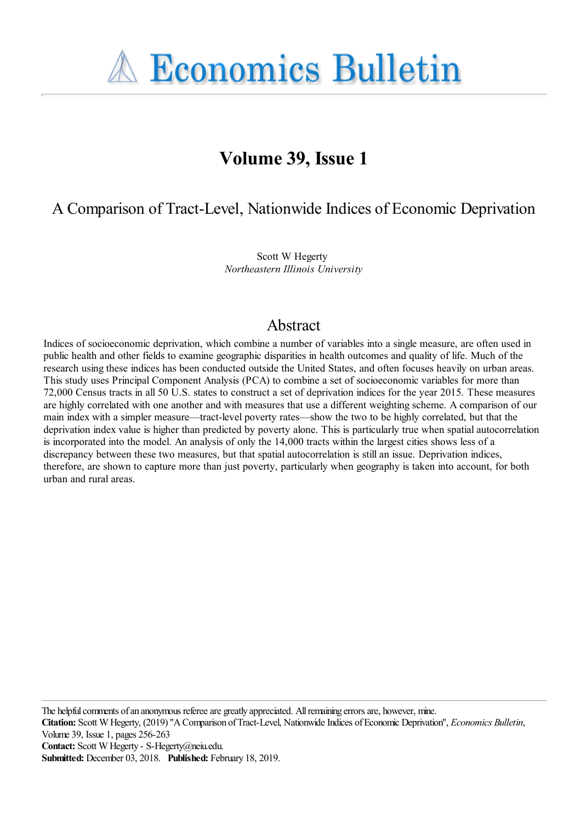**A Economics Bulletin** 

# **Volume 39, Issue 1**

A Comparison of Tract-Level, Nationwide Indices of Economic Deprivation

Scott W Hegerty *Northeastern Illinois University*

## Abstract

Indices of socioeconomic deprivation, which combine a number of variables into a single measure, are often used in public health and other fields to examine geographic disparities in health outcomes and quality of life. Much of the research using these indices has been conducted outside the United States, and often focuses heavily on urban areas. This study uses Principal Component Analysis (PCA) to combine a set of socioeconomic variables for more than 72,000 Census tracts in all 50 U.S. states to construct a set of deprivation indices for the year 2015. These measures are highly correlated with one another and with measures that use a different weighting scheme. A comparison of our main index with a simpler measure—tract-level poverty rates—show the two to be highly correlated, but that the deprivation index value is higher than predicted by poverty alone. This is particularly true when spatial autocorrelation is incorporated into the model. An analysis of only the 14,000 tracts within the largest cities shows less of a discrepancy between these two measures, but that spatial autocorrelation is still an issue. Deprivation indices, therefore, are shown to capture more than just poverty, particularly when geography is taken into account, for both urban and rural areas.

The helpful comments of an anonymous referee are greatly appreciated. All remaining errors are, however, mine.

**Citation:** Scott W Hegerty, (2019) ''A Comparison of Tract-Level, Nationwide Indices of Economic Deprivation'', *Economics Bulletin*, Volume 39, Issue 1, pages 256-263

**Contact:** Scott W Hegerty - S-Hegerty@neiu.edu.

**Submitted:** December 03, 2018. **Published:** February 18, 2019.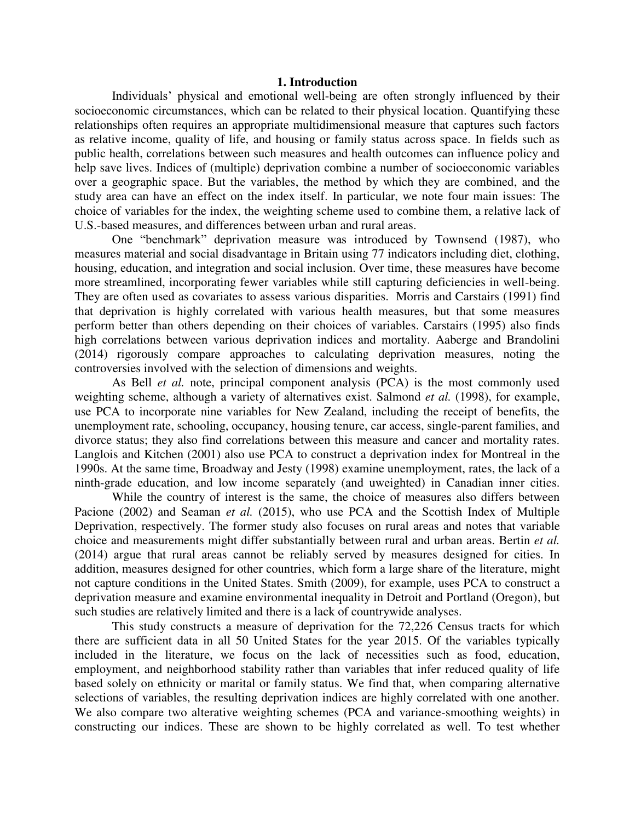#### **1. Introduction**

Individuals' physical and emotional well-being are often strongly influenced by their socioeconomic circumstances, which can be related to their physical location. Quantifying these relationships often requires an appropriate multidimensional measure that captures such factors as relative income, quality of life, and housing or family status across space. In fields such as public health, correlations between such measures and health outcomes can influence policy and help save lives. Indices of (multiple) deprivation combine a number of socioeconomic variables over a geographic space. But the variables, the method by which they are combined, and the study area can have an effect on the index itself. In particular, we note four main issues: The choice of variables for the index, the weighting scheme used to combine them, a relative lack of U.S.-based measures, and differences between urban and rural areas.

One "benchmark" deprivation measure was introduced by Townsend (1987), who measures material and social disadvantage in Britain using 77 indicators including diet, clothing, housing, education, and integration and social inclusion. Over time, these measures have become more streamlined, incorporating fewer variables while still capturing deficiencies in well-being. They are often used as covariates to assess various disparities. Morris and Carstairs (1991) find that deprivation is highly correlated with various health measures, but that some measures perform better than others depending on their choices of variables. Carstairs (1995) also finds high correlations between various deprivation indices and mortality. Aaberge and Brandolini (2014) rigorously compare approaches to calculating deprivation measures, noting the controversies involved with the selection of dimensions and weights.

As Bell *et al.* note, principal component analysis (PCA) is the most commonly used weighting scheme, although a variety of alternatives exist. Salmond *et al.* (1998), for example, use PCA to incorporate nine variables for New Zealand, including the receipt of benefits, the unemployment rate, schooling, occupancy, housing tenure, car access, single-parent families, and divorce status; they also find correlations between this measure and cancer and mortality rates. Langlois and Kitchen (2001) also use PCA to construct a deprivation index for Montreal in the 1990s. At the same time, Broadway and Jesty (1998) examine unemployment, rates, the lack of a ninth-grade education, and low income separately (and uweighted) in Canadian inner cities.

 While the country of interest is the same, the choice of measures also differs between Pacione (2002) and Seaman *et al.* (2015), who use PCA and the Scottish Index of Multiple Deprivation, respectively. The former study also focuses on rural areas and notes that variable choice and measurements might differ substantially between rural and urban areas. Bertin *et al.* (2014) argue that rural areas cannot be reliably served by measures designed for cities. In addition, measures designed for other countries, which form a large share of the literature, might not capture conditions in the United States. Smith (2009), for example, uses PCA to construct a deprivation measure and examine environmental inequality in Detroit and Portland (Oregon), but such studies are relatively limited and there is a lack of countrywide analyses.

This study constructs a measure of deprivation for the 72,226 Census tracts for which there are sufficient data in all 50 United States for the year 2015. Of the variables typically included in the literature, we focus on the lack of necessities such as food, education, employment, and neighborhood stability rather than variables that infer reduced quality of life based solely on ethnicity or marital or family status. We find that, when comparing alternative selections of variables, the resulting deprivation indices are highly correlated with one another. We also compare two alterative weighting schemes (PCA and variance-smoothing weights) in constructing our indices. These are shown to be highly correlated as well. To test whether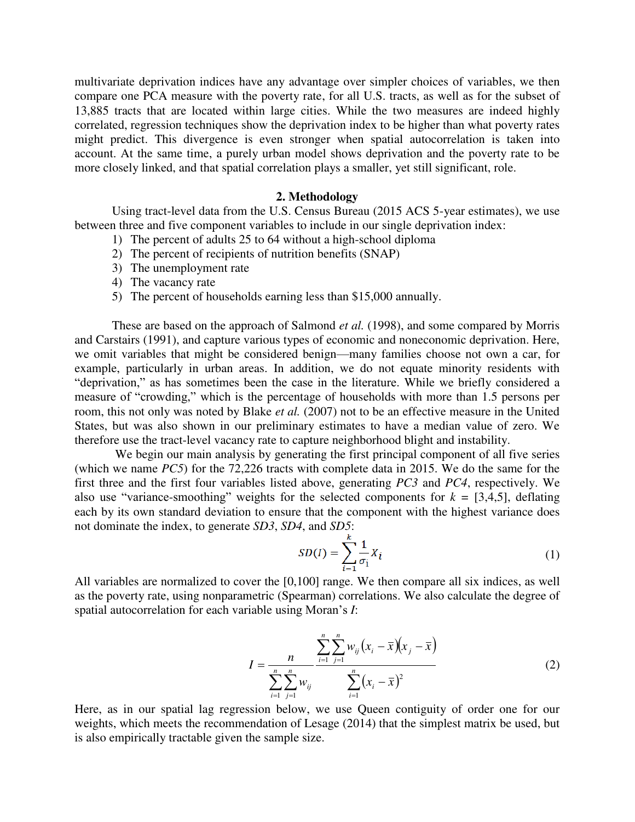multivariate deprivation indices have any advantage over simpler choices of variables, we then compare one PCA measure with the poverty rate, for all U.S. tracts, as well as for the subset of 13,885 tracts that are located within large cities. While the two measures are indeed highly correlated, regression techniques show the deprivation index to be higher than what poverty rates might predict. This divergence is even stronger when spatial autocorrelation is taken into account. At the same time, a purely urban model shows deprivation and the poverty rate to be more closely linked, and that spatial correlation plays a smaller, yet still significant, role.

### **2. Methodology**

Using tract-level data from the U.S. Census Bureau (2015 ACS 5-year estimates), we use between three and five component variables to include in our single deprivation index:

- 1) The percent of adults 25 to 64 without a high-school diploma
- 2) The percent of recipients of nutrition benefits (SNAP)
- 3) The unemployment rate
- 4) The vacancy rate
- 5) The percent of households earning less than \$15,000 annually.

These are based on the approach of Salmond *et al.* (1998), and some compared by Morris and Carstairs (1991), and capture various types of economic and noneconomic deprivation. Here, we omit variables that might be considered benign—many families choose not own a car, for example, particularly in urban areas. In addition, we do not equate minority residents with "deprivation," as has sometimes been the case in the literature. While we briefly considered a measure of "crowding," which is the percentage of households with more than 1.5 persons per room, this not only was noted by Blake *et al.* (2007) not to be an effective measure in the United States, but was also shown in our preliminary estimates to have a median value of zero. We therefore use the tract-level vacancy rate to capture neighborhood blight and instability.

We begin our main analysis by generating the first principal component of all five series (which we name *PC5*) for the 72,226 tracts with complete data in 2015. We do the same for the first three and the first four variables listed above, generating *PC3* and *PC4*, respectively. We also use "variance-smoothing" weights for the selected components for  $k = [3,4,5]$ , deflating each by its own standard deviation to ensure that the component with the highest variance does not dominate the index, to generate *SD3*, *SD4*, and *SD5*:

$$
SD(I) = \sum_{i=1}^{k} \frac{1}{\sigma_i} X_i
$$
\n<sup>(1)</sup>

All variables are normalized to cover the [0,100] range. We then compare all six indices, as well as the poverty rate, using nonparametric (Spearman) correlations. We also calculate the degree of spatial autocorrelation for each variable using Moran's *I*:

$$
I = \frac{n}{\sum_{i=1}^{n} \sum_{j=1}^{n} w_{ij}} \frac{\sum_{i=1}^{n} \sum_{j=1}^{n} w_{ij} (x_i - \bar{x}) (x_j - \bar{x})}{\sum_{i=1}^{n} (x_i - \bar{x})^2}
$$
(2)

Here, as in our spatial lag regression below, we use Queen contiguity of order one for our weights, which meets the recommendation of Lesage (2014) that the simplest matrix be used, but is also empirically tractable given the sample size.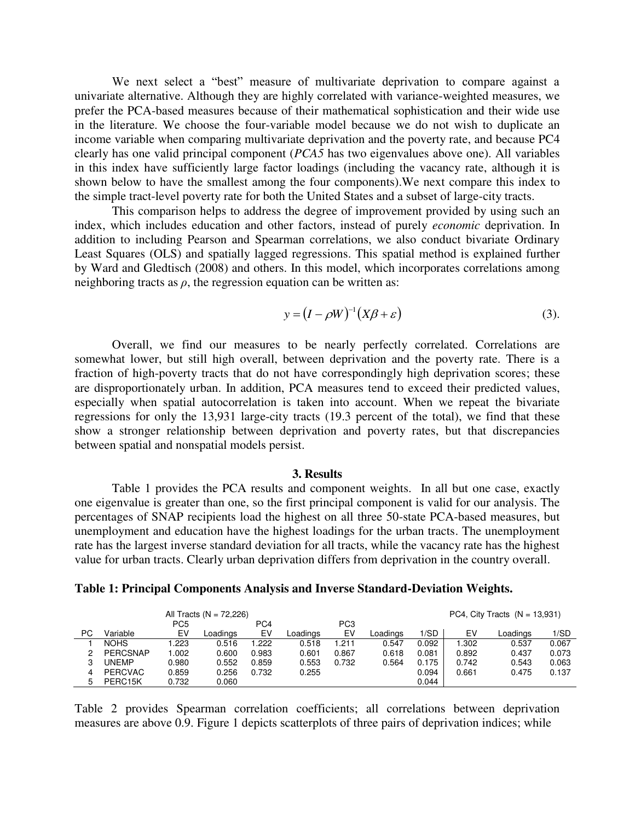We next select a "best" measure of multivariate deprivation to compare against a univariate alternative. Although they are highly correlated with variance-weighted measures, we prefer the PCA-based measures because of their mathematical sophistication and their wide use in the literature. We choose the four-variable model because we do not wish to duplicate an income variable when comparing multivariate deprivation and the poverty rate, and because PC4 clearly has one valid principal component (*PCA5* has two eigenvalues above one). All variables in this index have sufficiently large factor loadings (including the vacancy rate, although it is shown below to have the smallest among the four components).We next compare this index to the simple tract-level poverty rate for both the United States and a subset of large-city tracts.

This comparison helps to address the degree of improvement provided by using such an index, which includes education and other factors, instead of purely *economic* deprivation. In addition to including Pearson and Spearman correlations, we also conduct bivariate Ordinary Least Squares (OLS) and spatially lagged regressions. This spatial method is explained further by Ward and Gledtisch (2008) and others. In this model, which incorporates correlations among neighboring tracts as  $\rho$ , the regression equation can be written as:

$$
y = (I - \rho W)^{-1} (X\beta + \varepsilon)
$$
 (3).

Overall, we find our measures to be nearly perfectly correlated. Correlations are somewhat lower, but still high overall, between deprivation and the poverty rate. There is a fraction of high-poverty tracts that do not have correspondingly high deprivation scores; these are disproportionately urban. In addition, PCA measures tend to exceed their predicted values, especially when spatial autocorrelation is taken into account. When we repeat the bivariate regressions for only the 13,931 large-city tracts (19.3 percent of the total), we find that these show a stronger relationship between deprivation and poverty rates, but that discrepancies between spatial and nonspatial models persist.

#### **3. Results**

Table 1 provides the PCA results and component weights. In all but one case, exactly one eigenvalue is greater than one, so the first principal component is valid for our analysis. The percentages of SNAP recipients load the highest on all three 50-state PCA-based measures, but unemployment and education have the highest loadings for the urban tracts. The unemployment rate has the largest inverse standard deviation for all tracts, while the vacancy rate has the highest value for urban tracts. Clearly urban deprivation differs from deprivation in the country overall.

| Table 1: Principal Components Analysis and Inverse Standard-Deviation Weights. |  |  |
|--------------------------------------------------------------------------------|--|--|
|                                                                                |  |  |

| All Tracts ( $N = 72,226$ ) |                 |                 |          |       |          | PC4, City Tracts $(N = 13,931)$ |          |       |       |          |       |
|-----------------------------|-----------------|-----------------|----------|-------|----------|---------------------------------|----------|-------|-------|----------|-------|
|                             |                 | PC <sub>5</sub> |          | PC4   |          | PC <sub>3</sub>                 |          |       |       |          |       |
| РC                          | Variable        | EV              | Loadings | EV    | Loadings | EV                              | Loadings | 1/SD  | EV    | Loadinas | 1/SD  |
|                             | <b>NOHS</b>     | .223            | 0.516    | .222  | 0.518    | 1.211                           | 0.547    | 0.092 | 1.302 | 0.537    | 0.067 |
| ◠                           | <b>PERCSNAP</b> | .002            | 0.600    | 0.983 | 0.601    | 0.867                           | 0.618    | 0.081 | 0.892 | 0.437    | 0.073 |
| ິ<br>د،                     | UNEMP           | 0.980           | 0.552    | 0.859 | 0.553    | 0.732                           | 0.564    | 0.175 | 0.742 | 0.543    | 0.063 |
| 4                           | <b>PERCVAC</b>  | 0.859           | 0.256    | 0.732 | 0.255    |                                 |          | 0.094 | 0.661 | 0.475    | 0.137 |
| 5                           | PERC15K         | 0.732           | 0.060    |       |          |                                 |          | 0.044 |       |          |       |

Table 2 provides Spearman correlation coefficients; all correlations between deprivation measures are above 0.9. Figure 1 depicts scatterplots of three pairs of deprivation indices; while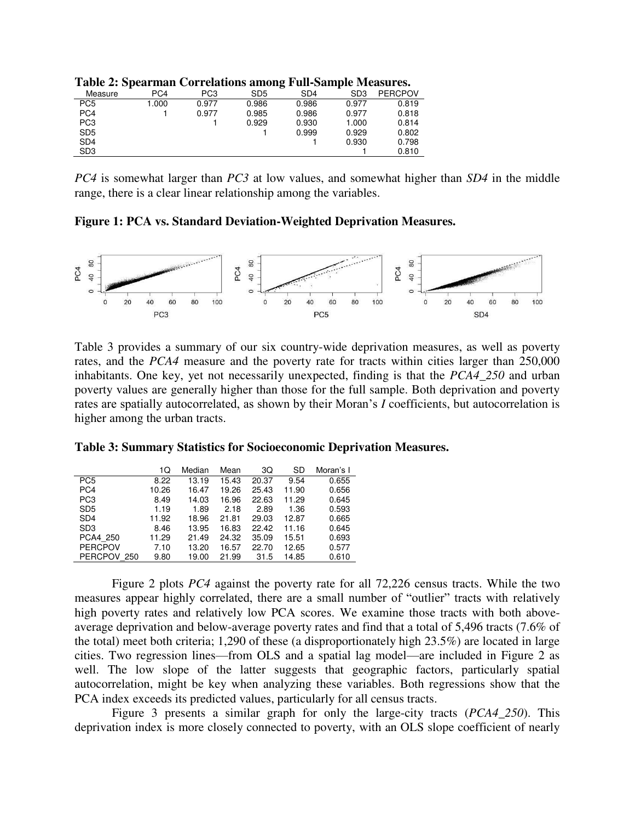| Measure         | PC <sub>4</sub> | PC <sub>3</sub> | SD <sub>5</sub> | SD <sub>4</sub> | SD3   | <b>PERCPOV</b> |
|-----------------|-----------------|-----------------|-----------------|-----------------|-------|----------------|
| PC <sub>5</sub> | 1.000           | 0.977           | 0.986           | 0.986           | 0.977 | 0.819          |
| PC <sub>4</sub> |                 | 0.977           | 0.985           | 0.986           | 0.977 | 0.818          |
| PC <sub>3</sub> |                 |                 | 0.929           | 0.930           | 1.000 | 0.814          |
| SD <sub>5</sub> |                 |                 |                 | 0.999           | 0.929 | 0.802          |
| SD <sub>4</sub> |                 |                 |                 |                 | 0.930 | 0.798          |
| SD <sub>3</sub> |                 |                 |                 |                 |       | 0.810          |

**Table 2: Spearman Correlations among Full-Sample Measures.** 

*PC4* is somewhat larger than *PC3* at low values, and somewhat higher than *SD4* in the middle range, there is a clear linear relationship among the variables.

**Figure 1: PCA vs. Standard Deviation-Weighted Deprivation Measures.** 



Table 3 provides a summary of our six country-wide deprivation measures, as well as poverty rates, and the *PCA4* measure and the poverty rate for tracts within cities larger than 250,000 inhabitants. One key, yet not necessarily unexpected, finding is that the *PCA4\_250* and urban poverty values are generally higher than those for the full sample. Both deprivation and poverty rates are spatially autocorrelated, as shown by their Moran's *I* coefficients, but autocorrelation is higher among the urban tracts.

|                 | 1Q    | Median | Mean  | ЗQ    | SD    | Moran's I |
|-----------------|-------|--------|-------|-------|-------|-----------|
| PC <sub>5</sub> | 8.22  | 13.19  | 15.43 | 20.37 | 9.54  | 0.655     |
| PC <sub>4</sub> | 10.26 | 16.47  | 19.26 | 25.43 | 11.90 | 0.656     |
| PC <sub>3</sub> | 8.49  | 14.03  | 16.96 | 22.63 | 11.29 | 0.645     |
| SD <sub>5</sub> | 1.19  | 1.89   | 2.18  | 2.89  | 1.36  | 0.593     |
| SD <sub>4</sub> | 11.92 | 18.96  | 21.81 | 29.03 | 12.87 | 0.665     |
| SD <sub>3</sub> | 8.46  | 13.95  | 16.83 | 22.42 | 11.16 | 0.645     |
| PCA4 250        | 11.29 | 21.49  | 24.32 | 35.09 | 15.51 | 0.693     |
| <b>PERCPOV</b>  | 7.10  | 13.20  | 16.57 | 22.70 | 12.65 | 0.577     |
| PERCPOV 250     | 9.80  | 19.00  | 21.99 | 31.5  | 14.85 | 0.610     |

**Table 3: Summary Statistics for Socioeconomic Deprivation Measures.** 

Figure 2 plots *PC4* against the poverty rate for all 72,226 census tracts. While the two measures appear highly correlated, there are a small number of "outlier" tracts with relatively high poverty rates and relatively low PCA scores. We examine those tracts with both aboveaverage deprivation and below-average poverty rates and find that a total of 5,496 tracts (7.6% of the total) meet both criteria; 1,290 of these (a disproportionately high 23.5%) are located in large cities. Two regression lines—from OLS and a spatial lag model—are included in Figure 2 as well. The low slope of the latter suggests that geographic factors, particularly spatial autocorrelation, might be key when analyzing these variables. Both regressions show that the PCA index exceeds its predicted values, particularly for all census tracts.

Figure 3 presents a similar graph for only the large-city tracts (*PCA4\_250*). This deprivation index is more closely connected to poverty, with an OLS slope coefficient of nearly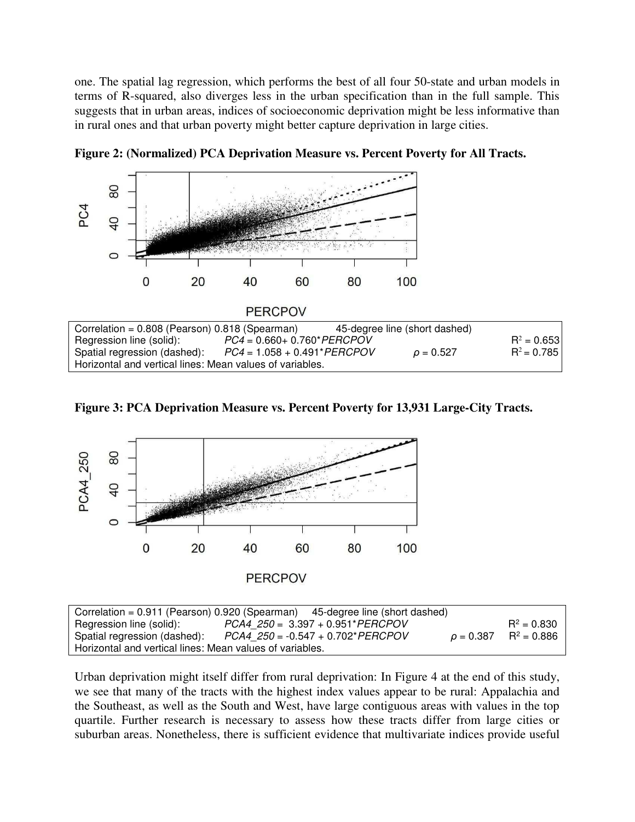one. The spatial lag regression, which performs the best of all four 50-state and urban models in terms of R-squared, also diverges less in the urban specification than in the full sample. This suggests that in urban areas, indices of socioeconomic deprivation might be less informative than in rural ones and that urban poverty might better capture deprivation in large cities.









| Correlation = $0.911$ (Pearson) 0.920 (Spearman) 45-degree line (short dashed) |                                        |  |  |                                       |  |  |  |
|--------------------------------------------------------------------------------|----------------------------------------|--|--|---------------------------------------|--|--|--|
| Regression line (solid):                                                       | $PCA4 250 = 3.397 + 0.951*PERCPOV$     |  |  | $R^2 = 0.830$                         |  |  |  |
| Spatial regression (dashed):                                                   | $PCA4$ $250 = -0.547 + 0.702* PERCPOV$ |  |  | $\rho = 0.387$ R <sup>2</sup> = 0.886 |  |  |  |
| Horizontal and vertical lines: Mean values of variables.                       |                                        |  |  |                                       |  |  |  |

Urban deprivation might itself differ from rural deprivation: In Figure 4 at the end of this study, we see that many of the tracts with the highest index values appear to be rural: Appalachia and the Southeast, as well as the South and West, have large contiguous areas with values in the top quartile. Further research is necessary to assess how these tracts differ from large cities or suburban areas. Nonetheless, there is sufficient evidence that multivariate indices provide useful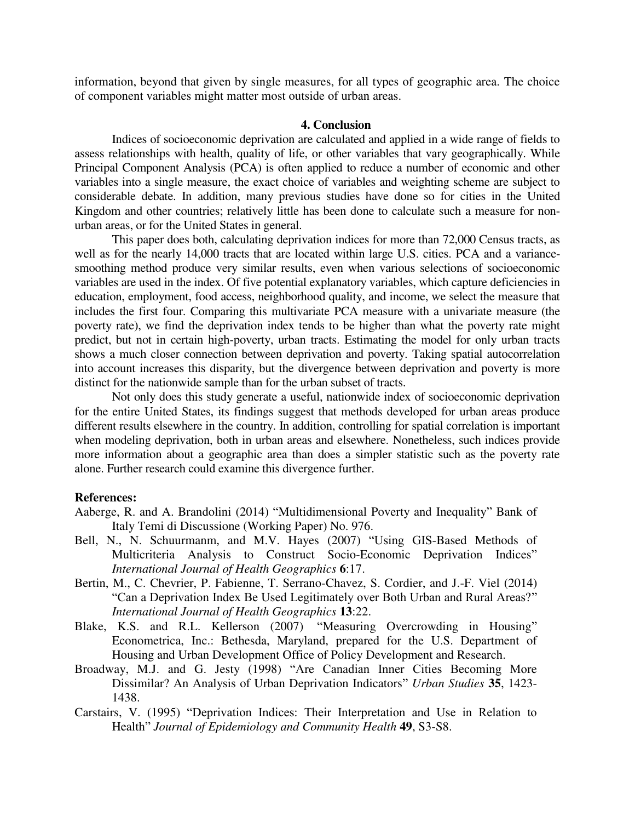information, beyond that given by single measures, for all types of geographic area. The choice of component variables might matter most outside of urban areas.

#### **4. Conclusion**

 Indices of socioeconomic deprivation are calculated and applied in a wide range of fields to assess relationships with health, quality of life, or other variables that vary geographically. While Principal Component Analysis (PCA) is often applied to reduce a number of economic and other variables into a single measure, the exact choice of variables and weighting scheme are subject to considerable debate. In addition, many previous studies have done so for cities in the United Kingdom and other countries; relatively little has been done to calculate such a measure for nonurban areas, or for the United States in general.

This paper does both, calculating deprivation indices for more than 72,000 Census tracts, as well as for the nearly 14,000 tracts that are located within large U.S. cities. PCA and a variancesmoothing method produce very similar results, even when various selections of socioeconomic variables are used in the index. Of five potential explanatory variables, which capture deficiencies in education, employment, food access, neighborhood quality, and income, we select the measure that includes the first four. Comparing this multivariate PCA measure with a univariate measure (the poverty rate), we find the deprivation index tends to be higher than what the poverty rate might predict, but not in certain high-poverty, urban tracts. Estimating the model for only urban tracts shows a much closer connection between deprivation and poverty. Taking spatial autocorrelation into account increases this disparity, but the divergence between deprivation and poverty is more distinct for the nationwide sample than for the urban subset of tracts.

Not only does this study generate a useful, nationwide index of socioeconomic deprivation for the entire United States, its findings suggest that methods developed for urban areas produce different results elsewhere in the country. In addition, controlling for spatial correlation is important when modeling deprivation, both in urban areas and elsewhere. Nonetheless, such indices provide more information about a geographic area than does a simpler statistic such as the poverty rate alone. Further research could examine this divergence further.

#### **References:**

- Aaberge, R. and A. Brandolini (2014) "Multidimensional Poverty and Inequality" Bank of Italy Temi di Discussione (Working Paper) No. 976.
- Bell, N., N. Schuurmanm, and M.V. Hayes (2007) "Using GIS-Based Methods of Multicriteria Analysis to Construct Socio-Economic Deprivation Indices" *International Journal of Health Geographics* **6**:17.
- Bertin, M., C. Chevrier, P. Fabienne, T. Serrano-Chavez, S. Cordier, and J.-F. Viel (2014) "Can a Deprivation Index Be Used Legitimately over Both Urban and Rural Areas?" *International Journal of Health Geographics* **13**:22.
- Blake, K.S. and R.L. Kellerson (2007) "Measuring Overcrowding in Housing" Econometrica, Inc.: Bethesda, Maryland, prepared for the U.S. Department of Housing and Urban Development Office of Policy Development and Research.
- Broadway, M.J. and G. Jesty (1998) "Are Canadian Inner Cities Becoming More Dissimilar? An Analysis of Urban Deprivation Indicators" *Urban Studies* **35**, 1423- 1438.
- Carstairs, V. (1995) "Deprivation Indices: Their Interpretation and Use in Relation to Health" *Journal of Epidemiology and Community Health* **49**, S3-S8.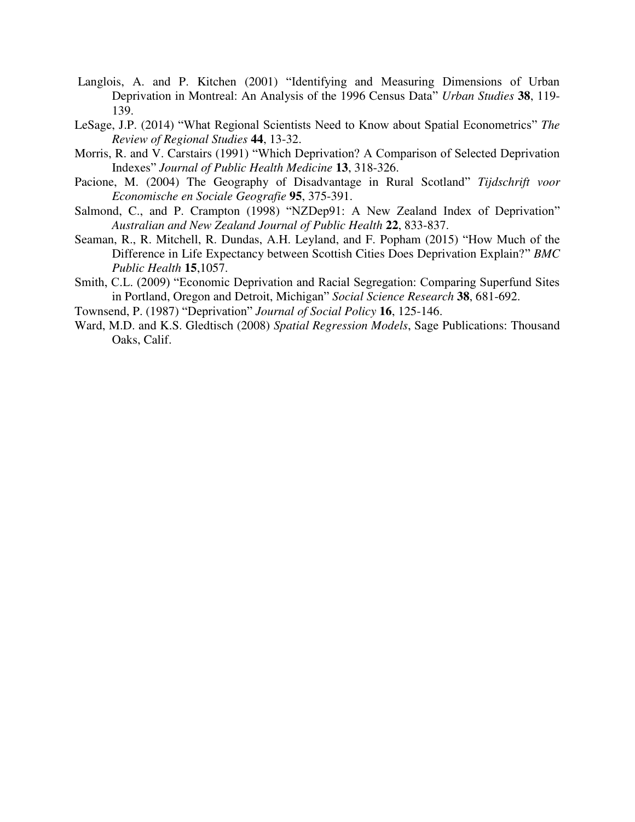- Langlois, A. and P. Kitchen (2001) "Identifying and Measuring Dimensions of Urban Deprivation in Montreal: An Analysis of the 1996 Census Data" *Urban Studies* **38**, 119- 139.
- LeSage, J.P. (2014) "What Regional Scientists Need to Know about Spatial Econometrics" *The Review of Regional Studies* **44**, 13-32.
- Morris, R. and V. Carstairs (1991) "Which Deprivation? A Comparison of Selected Deprivation Indexes" *Journal of Public Health Medicine* **13**, 318-326.
- Pacione, M. (2004) The Geography of Disadvantage in Rural Scotland" *Tijdschrift voor Economische en Sociale Geografie* **95**, 375-391.
- Salmond, C., and P. Crampton (1998) "NZDep91: A New Zealand Index of Deprivation" *Australian and New Zealand Journal of Public Health* **22**, 833-837.
- Seaman, R., R. Mitchell, R. Dundas, A.H. Leyland, and F. Popham (2015) "How Much of the Difference in Life Expectancy between Scottish Cities Does Deprivation Explain?" *BMC Public Health* **15**,1057.
- Smith, C.L. (2009) "Economic Deprivation and Racial Segregation: Comparing Superfund Sites in Portland, Oregon and Detroit, Michigan" *Social Science Research* **38**, 681-692.
- Townsend, P. (1987) "Deprivation" *Journal of Social Policy* **16**, 125-146.
- Ward, M.D. and K.S. Gledtisch (2008) *Spatial Regression Models*, Sage Publications: Thousand Oaks, Calif.